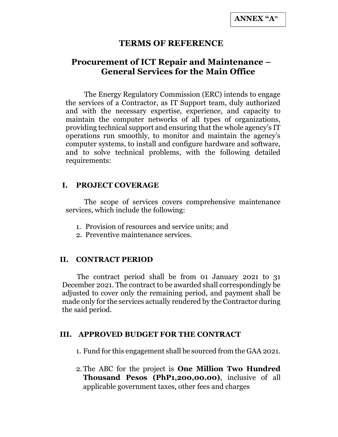## TERMS OF REFERENCE

# Procurement of ICT Repair and Maintenance – General Services for the Main Office

The Energy Regulatory Commission (ERC) intends to engage the services of a Contractor, as IT Support team, duly authorized and with the necessary expertise, experience, and capacity to maintain the computer networks of all types of organizations, providing technical support and ensuring that the whole agency's IT operations run smoothly, to monitor and maintain the agency's computer systems, to install and configure hardware and software, and to solve technical problems, with the following detailed requirements:

#### I. PROJECT COVERAGE

The scope of services covers comprehensive maintenance services, which include the following:

- 1. Provision of resources and service units; and
- 2. Preventive maintenance services.

#### II. CONTRACT PERIOD

The contract period shall be from 01 January 2021 to 31 December 2021. The contract to be awarded shall correspondingly be adjusted to cover only the remaining period, and payment shall be made only for the services actually rendered by the Contractor during the said period.

#### III. APPROVED BUDGET FOR THE CONTRACT

1. Fund for this engagement shall be sourced from the GAA 2021.

2.The ABC for the project is One Million Two Hundred Thousand Pesos (PhP1,200,00.00), inclusive of all applicable government taxes, other fees and charges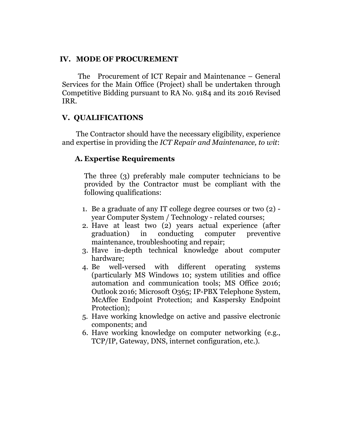#### IV. MODE OF PROCUREMENT

The Procurement of ICT Repair and Maintenance – General Services for the Main Office (Project) shall be undertaken through Competitive Bidding pursuant to RA No. 9184 and its 2016 Revised IRR.

#### V. QUALIFICATIONS

The Contractor should have the necessary eligibility, experience and expertise in providing the ICT Repair and Maintenance, to wit:

#### A. Expertise Requirements

The three (3) preferably male computer technicians to be provided by the Contractor must be compliant with the following qualifications:

- 1. Be a graduate of any IT college degree courses or two (2) year Computer System / Technology - related courses;
- 2. Have at least two (2) years actual experience (after graduation) in conducting computer preventive maintenance, troubleshooting and repair;
- 3. Have in-depth technical knowledge about computer hardware;
- 4. Be well-versed with different operating systems (particularly MS Windows 10; system utilities and office automation and communication tools; MS Office 2016; Outlook 2016; Microsoft O365; IP-PBX Telephone System, McAffee Endpoint Protection; and Kaspersky Endpoint Protection);
- 5. Have working knowledge on active and passive electronic components; and
- 6. Have working knowledge on computer networking (e.g., TCP/IP, Gateway, DNS, internet configuration, etc.).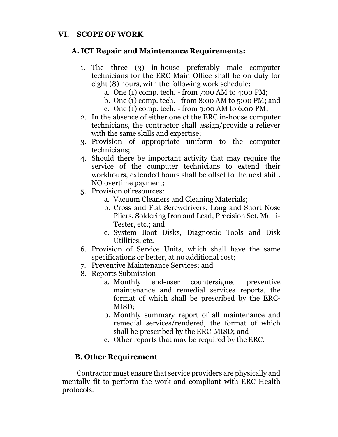## VI. SCOPE OF WORK

### A. ICT Repair and Maintenance Requirements:

- 1. The three (3) in-house preferably male computer technicians for the ERC Main Office shall be on duty for eight (8) hours, with the following work schedule:
	- a. One (1) comp. tech. from 7:00 AM to 4:00 PM;
	- b. One (1) comp. tech. from 8:00 AM to 5:00 PM; and
	- c. One (1) comp. tech. from 9:00 AM to 6:00 PM;
- 2. In the absence of either one of the ERC in-house computer technicians, the contractor shall assign/provide a reliever with the same skills and expertise;
- 3. Provision of appropriate uniform to the computer technicians;
- 4. Should there be important activity that may require the service of the computer technicians to extend their workhours, extended hours shall be offset to the next shift. NO overtime payment;
- 5. Provision of resources:
	- a. Vacuum Cleaners and Cleaning Materials;
	- b. Cross and Flat Screwdrivers, Long and Short Nose Pliers, Soldering Iron and Lead, Precision Set, Multi-Tester, etc.; and
	- c. System Boot Disks, Diagnostic Tools and Disk Utilities, etc.
- 6. Provision of Service Units, which shall have the same specifications or better, at no additional cost;
- 7. Preventive Maintenance Services; and
- 8. Reports Submission
	- a. Monthly end-user countersigned preventive maintenance and remedial services reports, the format of which shall be prescribed by the ERC-MISD;
	- b. Monthly summary report of all maintenance and remedial services/rendered, the format of which shall be prescribed by the ERC-MISD; and
	- c. Other reports that may be required by the ERC.

## B. Other Requirement

Contractor must ensure that service providers are physically and mentally fit to perform the work and compliant with ERC Health protocols.